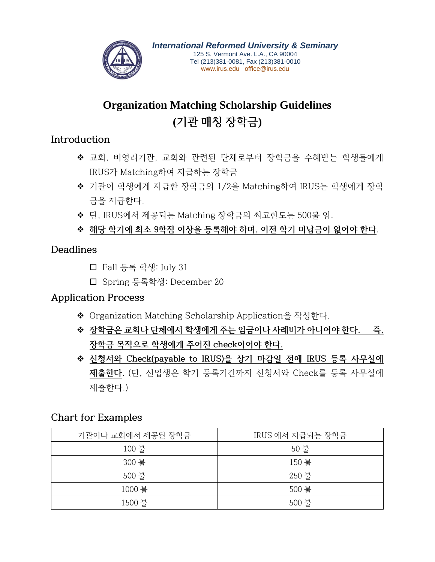

# **Organization Matching Scholarship Guidelines (기관 매칭 장학금)**

#### **Introduction**

- 교회, 비영리기관, 교회와 관련된 단체로부터 장학금을 수혜받는 학생들에게 IRUS가 Matching하여 지급하는 장학금
- 기관이 학생에게 지급한 장학금의 1/2을 Matching하여 IRUS는 학생에게 장학 금을 지급한다.
- ◆ 단, IRUS에서 제공되는 Matching 장학금의 최고한도는 500불 임.
- **해당 학기에 최소 9학점 이상을 등록해야 하며, 이전 학기 미납금이 없어야 한다**.

#### **Deadlines**

- Fall 등록 학생: July 31
- Spring 등록학생: December 20

## **Application Process**

- ◆ Organization Matching Scholarship Application을 작성한다.
- **장학금은 교회나 단체에서 학생에게 주는 임금이나 사례비가 아니어야 한다. 즉, 장학금 목적으로 학생에게 주어진 check이어야 한다.**
- **신청서와 Check(payable to IRUS)을 상기 마감일 전에 IRUS 등록 사무실에 제출한다**. (단, 신입생은 학기 등록기간까지 신청서와 Check를 등록 사무실에 제출한다.)

## **Chart for Examples**

| 기관이나 교회에서 제공된 장학금 | IRUS 에서 지급되는 장학금 |  |
|-------------------|------------------|--|
| 100 불             | 50 불             |  |
| 300 불             | 150 불            |  |
| 500 불             | 250 불            |  |
| 1000 불            | 500 불            |  |
| 1500 불            | 500 불            |  |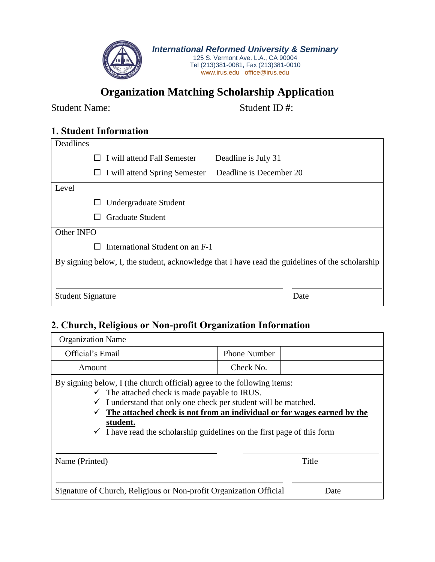

## **Organization Matching Scholarship Application**

Student Name: Student ID #:

#### **1. Student Information**

| Deadlines                                                                                        |                                                               |      |  |  |
|--------------------------------------------------------------------------------------------------|---------------------------------------------------------------|------|--|--|
|                                                                                                  | $\Box$ I will attend Fall Semester<br>Deadline is July 31     |      |  |  |
|                                                                                                  | Deadline is December 20<br>I will attend Spring Semester<br>ப |      |  |  |
| Level                                                                                            |                                                               |      |  |  |
|                                                                                                  | Undergraduate Student                                         |      |  |  |
|                                                                                                  | <b>Graduate Student</b>                                       |      |  |  |
| Other INFO                                                                                       |                                                               |      |  |  |
|                                                                                                  | International Student on an F-1                               |      |  |  |
| By signing below, I, the student, acknowledge that I have read the guidelines of the scholarship |                                                               |      |  |  |
|                                                                                                  |                                                               |      |  |  |
| <b>Student Signature</b>                                                                         |                                                               | Date |  |  |

#### **2. Church, Religious or Non-profit Organization Information**

| <b>Organization Name</b>                                                                                                                                                                                                                                                                                                                                                                          |  |                     |       |  |  |
|---------------------------------------------------------------------------------------------------------------------------------------------------------------------------------------------------------------------------------------------------------------------------------------------------------------------------------------------------------------------------------------------------|--|---------------------|-------|--|--|
| Official's Email                                                                                                                                                                                                                                                                                                                                                                                  |  | <b>Phone Number</b> |       |  |  |
| Amount                                                                                                                                                                                                                                                                                                                                                                                            |  | Check No.           |       |  |  |
| By signing below, I (the church official) agree to the following items:<br>$\checkmark$ The attached check is made payable to IRUS.<br>I understand that only one check per student will be matched.<br>The attached check is not from an individual or for wages earned by the<br>$\checkmark$<br>student.<br>$\checkmark$ I have read the scholarship guidelines on the first page of this form |  |                     |       |  |  |
| Name (Printed)                                                                                                                                                                                                                                                                                                                                                                                    |  |                     | Title |  |  |
| Signature of Church, Religious or Non-profit Organization Official<br>Date                                                                                                                                                                                                                                                                                                                        |  |                     |       |  |  |